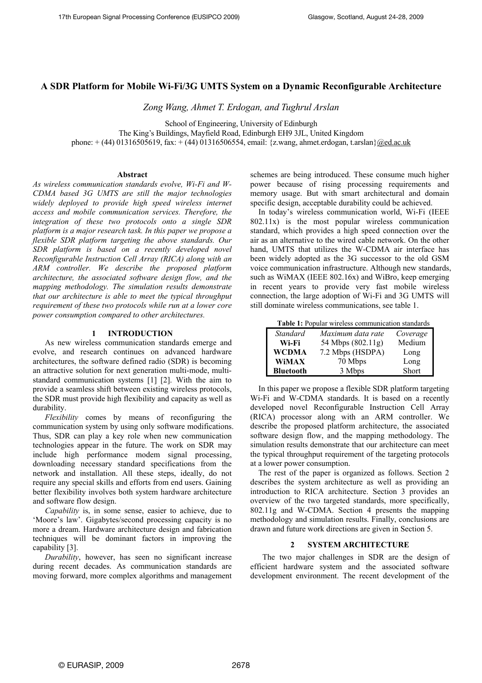## **A SDR Platform for Mobile Wi-Fi/3G UMTS System on a Dynamic Reconfigurable Architecture**

*Zong Wang, Ahmet T. Erdogan, and Tughrul Arslan* 

School of Engineering, University of Edinburgh The King's Buildings, Mayfield Road, Edinburgh EH9 3JL, United Kingdom phone: + (44) 01316505619, fax: + (44) 01316506554, email: {z.wang, ahmet.erdogan, t.arslan}[@ed.ac.uk](mailto:@ed.ac.uk)

#### **Abstract**

*As wireless communication standards evolve, Wi-Fi and W-CDMA based 3G UMTS are still the major technologies widely deployed to provide high speed wireless internet access and mobile communication services. Therefore, the integration of these two protocols onto a single SDR platform is a major research task. In this paper we propose a flexible SDR platform targeting the above standards. Our SDR platform is based on a recently developed novel Reconfigurable Instruction Cell Array (RICA) along with an ARM controller. We describe the proposed platform architecture, the associated software design flow, and the mapping methodology. The simulation results demonstrate that our architecture is able to meet the typical throughput requirement of these two protocols while run at a lower core power consumption compared to other architectures.* 

## **1 INTRODUCTION**

As new wireless communication standards emerge and evolve, and research continues on advanced hardware architectures, the software defined radio (SDR) is becoming an attractive solution for next generation multi-mode, multistandard communication systems [1] [2]. With the aim to provide a seamless shift between existing wireless protocols, the SDR must provide high flexibility and capacity as well as durability.

*Flexibility* comes by means of reconfiguring the communication system by using only software modifications. Thus, SDR can play a key role when new communication technologies appear in the future. The work on SDR may include high performance modem signal processing, downloading necessary standard specifications from the network and installation. All these steps, ideally, do not require any special skills and efforts from end users. Gaining better flexibility involves both system hardware architecture and software flow design.

*Capability* is, in some sense, easier to achieve, due to 'Moore's law'. Gigabytes/second processing capacity is no more a dream. Hardware architecture design and fabrication techniques will be dominant factors in improving the capability [3].

*Durability*, however, has seen no significant increase during recent decades. As communication standards are moving forward, more complex algorithms and management schemes are being introduced. These consume much higher power because of rising processing requirements and memory usage. But with smart architectural and domain specific design, acceptable durability could be achieved.

In today's wireless communication world, Wi-Fi (IEEE 802.11x) is the most popular wireless communication standard, which provides a high speed connection over the air as an alternative to the wired cable network. On the other hand, UMTS that utilizes the W-CDMA air interface has been widely adopted as the 3G successor to the old GSM voice communication infrastructure. Although new standards, such as WiMAX (IEEE 802.16x) and WiBro, keep emerging in recent years to provide very fast mobile wireless connection, the large adoption of Wi-Fi and 3G UMTS will still dominate wireless communications, see table 1.

**Table 1:** Popular wireless communication standards

| <b>Standard</b>  | Maximum data rate | Coverage |
|------------------|-------------------|----------|
| Wi-Fi            | 54 Mbps (802.11g) | Medium   |
| <b>WCDMA</b>     | 7.2 Mbps (HSDPA)  | Long     |
| <b>WiMAX</b>     | 70 Mbps           | Long     |
| <b>Bluetooth</b> | 3 Mbps            | Short    |

In this paper we propose a flexible SDR platform targeting Wi-Fi and W-CDMA standards. It is based on a recently developed novel Reconfigurable Instruction Cell Array (RICA) processor along with an ARM controller. We describe the proposed platform architecture, the associated software design flow, and the mapping methodology. The simulation results demonstrate that our architecture can meet the typical throughput requirement of the targeting protocols at a lower power consumption.

The rest of the paper is organized as follows. Section 2 describes the system architecture as well as providing an introduction to RICA architecture. Section 3 provides an overview of the two targeted standards, more specifically, 802.11g and W-CDMA. Section 4 presents the mapping methodology and simulation results. Finally, conclusions are drawn and future work directions are given in Section 5.

## **2 SYSTEM ARCHITECTURE**

The two major challenges in SDR are the design of efficient hardware system and the associated software development environment. The recent development of the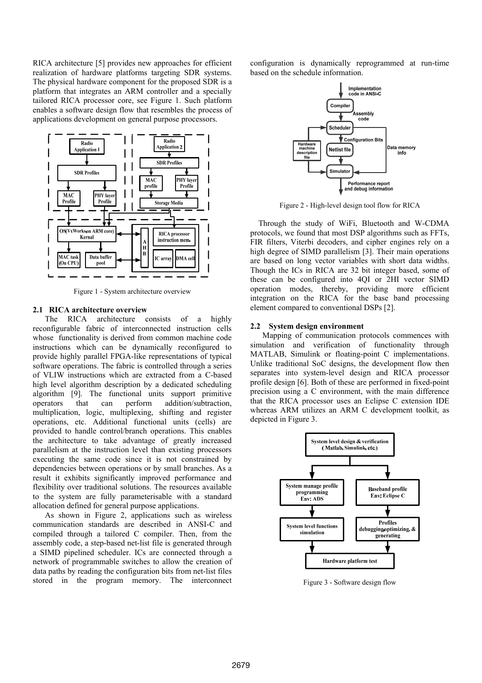RICA architecture [5] provides new approaches for efficient realization of hardware platforms targeting SDR systems. The physical hardware component for the proposed SDR is a platform that integrates an ARM controller and a specially tailored RICA processor core, see Figure 1. Such platform enables a software design flow that resembles the process of applications development on general purpose processors.



Figure 1 - System architecture overview

## **2.1 RICA architecture overview**

The RICA architecture consists of a highly reconfigurable fabric of interconnected instruction cells whose functionality is derived from common machine code instructions which can be dynamically reconfigured to provide highly parallel FPGA-like representations of typical software operations. The fabric is controlled through a series of VLIW instructions which are extracted from a C-based high level algorithm description by a dedicated scheduling algorithm [9]. The functional units support primitive operators that can perform addition/subtraction, multiplication, logic, multiplexing, shifting and register operations, etc. Additional functional units (cells) are provided to handle control/branch operations. This enables the architecture to take advantage of greatly increased parallelism at the instruction level than existing processors executing the same code since it is not constrained by dependencies between operations or by small branches. As a result it exhibits significantly improved performance and flexibility over traditional solutions. The resources available to the system are fully parameterisable with a standard allocation defined for general purpose applications.

As shown in Figure 2, applications such as wireless communication standards are described in ANSI-C and compiled through a tailored C compiler. Then, from the assembly code, a step-based net-list file is generated through a SIMD pipelined scheduler. ICs are connected through a network of programmable switches to allow the creation of data paths by reading the configuration bits from net-list files stored in the program memory. The interconnect

configuration is dynamically reprogrammed at run-time based on the schedule information.



Figure 2 - High-level design tool flow for RICA

Through the study of WiFi, Bluetooth and W-CDMA protocols, we found that most DSP algorithms such as FFTs, FIR filters, Viterbi decoders, and cipher engines rely on a high degree of SIMD parallelism [3]. Their main operations are based on long vector variables with short data widths. Though the ICs in RICA are 32 bit integer based, some of these can be configured into 4QI or 2HI vector SIMD operation modes, thereby, providing more efficient integration on the RICA for the base band processing element compared to conventional DSPs [2].

### **2.2 System design environment**

Mapping of communication protocols commences with simulation and verification of functionality through MATLAB, Simulink or floating-point C implementations. Unlike traditional SoC designs, the development flow then separates into system-level design and RICA processor profile design [6]. Both of these are performed in fixed-point precision using a C environment, with the main difference that the RICA processor uses an Eclipse C extension IDE whereas ARM utilizes an ARM C development toolkit, as depicted in Figure 3.



Figure 3 - Software design flow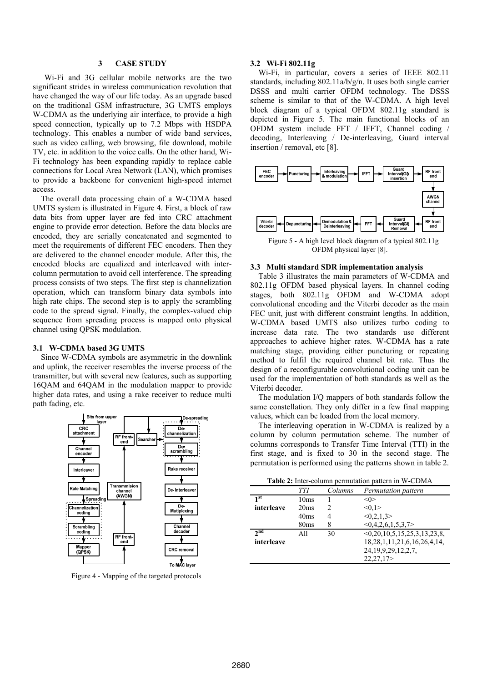### **3 CASE STUDY**

Wi-Fi and 3G cellular mobile networks are the two significant strides in wireless communication revolution that have changed the way of our life today. As an upgrade based on the traditional GSM infrastructure, 3G UMTS employs W-CDMA as the underlying air interface, to provide a high speed connection, typically up to 7.2 Mbps with HSDPA technology. This enables a number of wide band services, such as video calling, web browsing, file download, mobile TV, etc. in addition to the voice calls. On the other hand, Wi-Fi technology has been expanding rapidly to replace cable connections for Local Area Network (LAN), which promises to provide a backbone for convenient high-speed internet access.

The overall data processing chain of a W-CDMA based UMTS system is illustrated in Figure 4. First, a block of raw data bits from upper layer are fed into CRC attachment engine to provide error detection. Before the data blocks are encoded, they are serially concatenated and segmented to meet the requirements of different FEC encoders. Then they are delivered to the channel encoder module. After this, the encoded blocks are equalized and interleaved with intercolumn permutation to avoid cell interference. The spreading process consists of two steps. The first step is channelization operation, which can transform binary data symbols into high rate chips. The second step is to apply the scrambling code to the spread signal. Finally, the complex-valued chip sequence from spreading process is mapped onto physical channel using QPSK modulation.

#### **3.1 W-CDMA based 3G UMTS**

Since W-CDMA symbols are asymmetric in the downlink and uplink, the receiver resembles the inverse process of the transmitter, but with several new features, such as supporting 16QAM and 64QAM in the modulation mapper to provide higher data rates, and using a rake receiver to reduce multi path fading, etc.



Figure 4 - Mapping of the targeted protocols

#### **3.2 Wi-Fi 802.11g**

Wi-Fi, in particular, covers a series of IEEE 802.11 standards, including 802.11a/b/g/n. It uses both single carrier DSSS and multi carrier OFDM technology. The DSSS scheme is similar to that of the W-CDMA. A high level block diagram of a typical OFDM 802.11g standard is depicted in Figure 5. The main functional blocks of an OFDM system include FFT / IFFT, Channel coding / decoding, Interleaving / De-interleaving, Guard interval insertion / removal, etc [8].



Figure 5 - A high level block diagram of a typical 802.11g OFDM physical layer [8].

#### **3.3 Multi standard SDR implementation analysis**

Table 3 illustrates the main parameters of W-CDMA and 802.11g OFDM based physical layers. In channel coding stages, both 802.11g OFDM and W-CDMA adopt convolutional encoding and the Viterbi decoder as the main FEC unit, just with different constraint lengths. In addition, W-CDMA based UMTS also utilizes turbo coding to increase data rate. The two standards use different approaches to achieve higher rates. W-CDMA has a rate matching stage, providing either puncturing or repeating method to fulfil the required channel bit rate. Thus the design of a reconfigurable convolutional coding unit can be used for the implementation of both standards as well as the Viterbi decoder.

The modulation I/Q mappers of both standards follow the same constellation. They only differ in a few final mapping values, which can be loaded from the local memory.

The interleaving operation in W-CDMA is realized by a column by column permutation scheme. The number of columns corresponds to Transfer Time Interval (TTI) in the first stage, and is fixed to 30 in the second stage. The permutation is performed using the patterns shown in table 2.

**Table 2:** Inter-column permutation pattern in W-CDMA

| <b>Table 2:</b> Inter-column permutation pattern in W-CDMA |                  |         |                                      |
|------------------------------------------------------------|------------------|---------|--------------------------------------|
|                                                            | <b>TTI</b>       | Columns | Permutation pattern                  |
| 1 st                                                       | 10ms             |         |                                      |
| interleave                                                 | 20 <sub>ms</sub> | 2       | <0.1>                                |
|                                                            | 40 <sub>ms</sub> |         | <0.2, 1.3>                           |
|                                                            | 80ms             |         | <0.4.2.6.1.5.3.7>                    |
| 2 <sub>nd</sub>                                            | A11              | 30      | $\leq 0.20, 10.5, 15.25, 3.13, 23.8$ |
| interleave                                                 |                  |         | 18, 28, 1, 11, 21, 6, 16, 26, 4, 14, |
|                                                            |                  |         | 24, 19, 9, 29, 12, 2, 7,             |
|                                                            |                  |         | 22,27,17                             |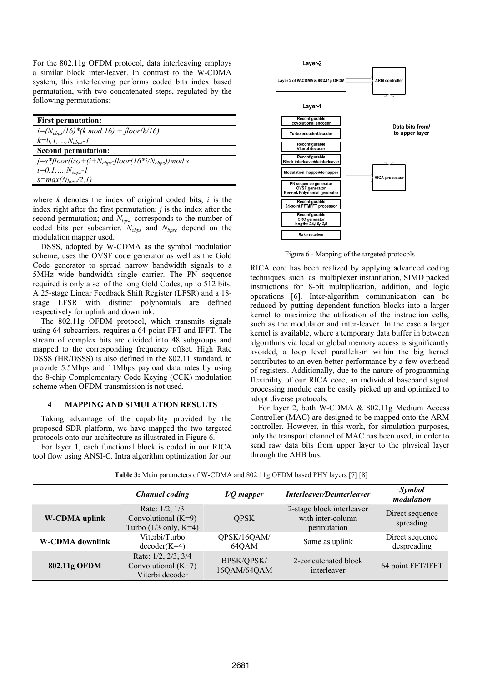For the 802.11g OFDM protocol, data interleaving employs a similar block inter-leaver. In contrast to the W-CDMA system, this interleaving performs coded bits index based permutation, with two concatenated steps, regulated by the following permutations:

| <b>First permutation:</b>                               |  |
|---------------------------------------------------------|--|
| $i = (N_{\text{cbps}}/16)$ *(k mod 16) + floor(k/16)    |  |
| $k=0,1,,N_{\text{cbps}}-1$                              |  |
| <b>Second permutation:</b>                              |  |
| $j=s*floor(i/s)+(i+N_{cbps}-floor(16*i/N_{cbps}))mod s$ |  |
| $i=0,1,,N_{cbps} - 1$                                   |  |
| $s = max(N_{bpsc}/2, 1)$                                |  |

where *k* denotes the index of original coded bits; *i* is the index right after the first permutation; *j* is the index after the second permutation; and *N*<sub>*bpsc*</sub> corresponds to the number of coded bits per subcarrier. *Ncbps* and *Nbpsc* depend on the modulation mapper used.

DSSS, adopted by W-CDMA as the symbol modulation scheme, uses the OVSF code generator as well as the Gold Code generator to spread narrow bandwidth signals to a 5MHz wide bandwidth single carrier. The PN sequence required is only a set of the long Gold Codes, up to 512 bits. A 25-stage Linear Feedback Shift Register (LFSR) and a 18 stage LFSR with distinct polynomials are defined respectively for uplink and downlink.

The 802.11g OFDM protocol, which transmits signals using 64 subcarriers, requires a 64-point FFT and IFFT. The stream of complex bits are divided into 48 subgroups and mapped to the corresponding frequency offset. High Rate DSSS (HR/DSSS) is also defined in the 802.11 standard, to provide 5.5Mbps and 11Mbps payload data rates by using the 8-chip Complementary Code Keying (CCK) modulation scheme when OFDM transmission is not used.

#### **4 MAPPING AND SIMULATION RESULTS**

Taking advantage of the capability provided by the proposed SDR platform, we have mapped the two targeted protocols onto our architecture as illustrated in Figure 6.

For layer 1, each functional block is coded in our RICA tool flow using ANSI-C. Intra algorithm optimization for our



Figure 6 - Mapping of the targeted protocols

RICA core has been realized by applying advanced coding techniques, such as multiplexer instantiation, SIMD packed instructions for 8-bit multiplication, addition, and logic operations [6]. Inter-algorithm communication can be reduced by putting dependent function blocks into a larger kernel to maximize the utilization of the instruction cells, such as the modulator and inter-leaver. In the case a larger kernel is available, where a temporary data buffer in between algorithms via local or global memory access is significantly avoided, a loop level parallelism within the big kernel contributes to an even better performance by a few overhead of registers. Additionally, due to the nature of programming flexibility of our RICA core, an individual baseband signal processing module can be easily picked up and optimized to adopt diverse protocols.

For layer 2, both W-CDMA & 802.11g Medium Access Controller (MAC) are designed to be mapped onto the ARM controller. However, in this work, for simulation purposes, only the transport channel of MAC has been used, in order to send raw data bits from upper layer to the physical layer through the AHB bus.

|                        | <b>Channel coding</b>                                                      | $I/Q$ mapper                     | Interleaver/Deinterleaver                                     | Symbol<br>modulation           |
|------------------------|----------------------------------------------------------------------------|----------------------------------|---------------------------------------------------------------|--------------------------------|
| <b>W-CDMA</b> uplink   | Rate: 1/2, 1/3<br>Convolutional $(K=9)$<br>Turbo $(1/3 \text{ only}, K=4)$ | <b>OPSK</b>                      | 2-stage block interleaver<br>with inter-column<br>permutation | Direct sequence<br>spreading   |
| <b>W-CDMA</b> downlink | Viterbi/Turbo<br>$decoder(K=4)$                                            | QPSK/16QAM/<br>64QAM             | Same as uplink                                                | Direct sequence<br>despreading |
| 802.11g OFDM           | Rate: 1/2, 2/3, 3/4<br>Convolutional $(K=7)$<br>Viterbi decoder            | <b>BPSK/QPSK/</b><br>16QAM/64QAM | 2-concatenated block<br>interleaver                           | 64 point FFT/IFFT              |

**Table 3:** Main parameters of W-CDMA and 802.11g OFDM based PHY layers [7] [8]